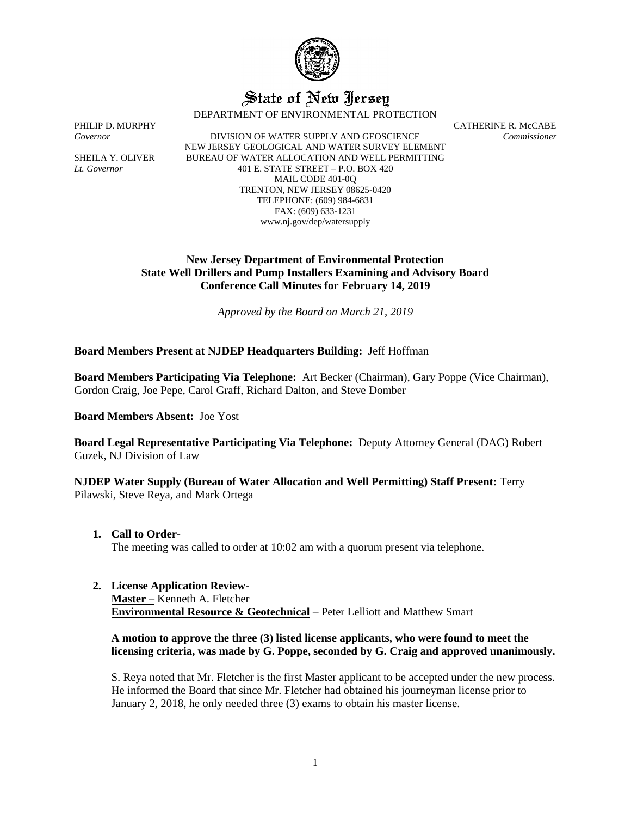

# State of New Jersey

DEPARTMENT OF ENVIRONMENTAL PROTECTION

*Governor* DIVISION OF WATER SUPPLY AND GEOSCIENCE *Commissioner* NEW JERSEY GEOLOGICAL AND WATER SURVEY ELEMENT SHEILA Y. OLIVER BUREAU OF WATER ALLOCATION AND WELL PERMITTING *Lt. Governor* 401 E. STATE STREET – P.O. BOX 420 MAIL CODE 401-0Q TRENTON, NEW JERSEY 08625-0420 TELEPHONE: (609) 984-6831 FAX: (609) 633-1231 www.nj.gov/dep/watersupply

PHILIP D. MURPHY CATHERINE R. McCABE

## **New Jersey Department of Environmental Protection State Well Drillers and Pump Installers Examining and Advisory Board Conference Call Minutes for February 14, 2019**

*Approved by the Board on March 21, 2019*

## **Board Members Present at NJDEP Headquarters Building:** Jeff Hoffman

**Board Members Participating Via Telephone:** Art Becker (Chairman), Gary Poppe (Vice Chairman), Gordon Craig, Joe Pepe, Carol Graff, Richard Dalton, and Steve Domber

**Board Members Absent:** Joe Yost

**Board Legal Representative Participating Via Telephone:** Deputy Attorney General (DAG) Robert Guzek, NJ Division of Law

**NJDEP Water Supply (Bureau of Water Allocation and Well Permitting) Staff Present:** Terry Pilawski, Steve Reya, and Mark Ortega

**1. Call to Order-**

The meeting was called to order at 10:02 am with a quorum present via telephone.

**2. License Application Review-**

**Master –** Kenneth A. Fletcher **Environmental Resource & Geotechnical –** Peter Lelliott and Matthew Smart

## **A motion to approve the three (3) listed license applicants, who were found to meet the licensing criteria, was made by G. Poppe, seconded by G. Craig and approved unanimously.**

S. Reya noted that Mr. Fletcher is the first Master applicant to be accepted under the new process. He informed the Board that since Mr. Fletcher had obtained his journeyman license prior to January 2, 2018, he only needed three (3) exams to obtain his master license.